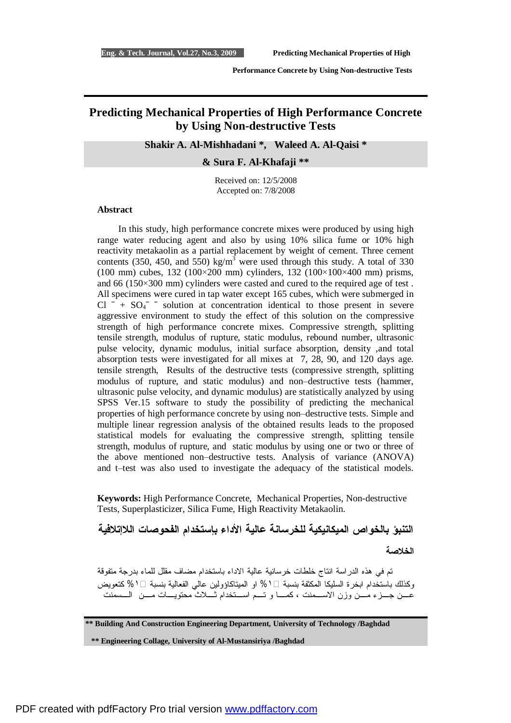# **Predicting Mechanical Properties of High Performance Concrete by Using Non-destructive Tests**

#### **Shakir A. Al-Mishhadani \*, Waleed A. Al-Qaisi \***

**& Sura F. Al-Khafaji \*\*** 

Received on: 12/5/2008 Accepted on: 7/8/2008

#### **Abstract**

In this study, high performance concrete mixes were produced by using high range water reducing agent and also by using 10% silica fume or 10% high reactivity metakaolin as a partial replacement by weight of cement. Three cement contents (350, 450, and 550) kg/m<sup>3</sup> were used through this study. A total of 330 (100 mm) cubes, 132 (100×200 mm) cylinders, 132 (100×100×400 mm) prisms, and 66 (150×300 mm) cylinders were casted and cured to the required age of test . All specimens were cured in tap water except 165 cubes, which were submerged in  $Cl^-$  +  $SO_4^-$  <sup>-</sup> solution at concentration identical to those present in severe aggressive environment to study the effect of this solution on the compressive strength of high performance concrete mixes. Compressive strength, splitting tensile strength, modulus of rupture, static modulus, rebound number, ultrasonic pulse velocity, dynamic modulus, initial surface absorption, density ,and total absorption tests were investigated for all mixes at 7, 28, 90, and 120 days age. tensile strength, Results of the destructive tests (compressive strength, splitting modulus of rupture, and static modulus) and non–destructive tests (hammer, ultrasonic pulse velocity, and dynamic modulus) are statistically analyzed by using SPSS Ver.15 software to study the possibility of predicting the mechanical properties of high performance concrete by using non–destructive tests. Simple and multiple linear regression analysis of the obtained results leads to the proposed statistical models for evaluating the compressive strength, splitting tensile strength, modulus of rupture, and static modulus by using one or two or three of the above mentioned non–destructive tests. Analysis of variance (ANOVA) and t–test was also used to investigate the adequacy of the statistical models.

**Keywords:** High Performance Concrete, Mechanical Properties, Non-destructive Tests, Superplasticizer, Silica Fume, High Reactivity Metakaolin.

**التنبؤ بالخواص الميكانيكية للخرسانة عالية الأداء بإستخدام الفحوصات اللاإتلافية** 

**الخلاصة** 

 تم في هذه الدراسة انتاج خلطات خرسانية عالية الاداء باستخدام مضاف مقلل للماء بدرجة متفوقة وكذلك باستخدام ابخرة السليكا المكثفة بنسبة ۞١ الا الميتاكاؤولين عالمي الفعالية بنسبة ۞١ % كتعويض عــن جــزء مــن وزن الاســمنت ، كمـا و تــم اســتخدام ثــلاث محتويـات مــن الـسمنت

**\*\* Building And Construction Engineering Department, University of Technology /Baghdad** 

**\*\* Engineering Collage, University of Al-Mustansiriya /Baghdad**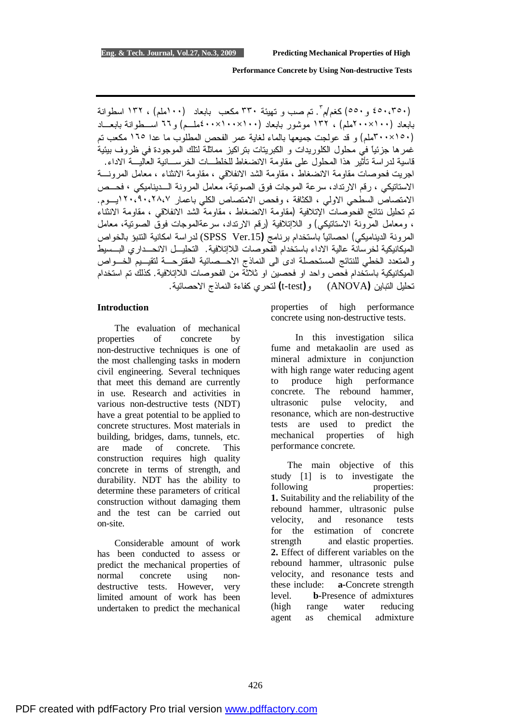(٤٥٠،٣٥٠ و٥٥٠) كغم/م ٣ . تم صب و تهيئة ٣٣٠ مكعب بابعاد (١٠٠ملم) ، ١٣٢ اسطوانة بابعاد (١٠٠×٢٠٠ملم) ، ١٣٢ موشور بابعاد (١٠٠×١٠٠×٤٠٠ملـم) و٦٦ اسـطوانة بابعـاد (١٥٠×٣٠٠ملم) و قد عولجت جميعها بالماء لغاية عمر الفحص المطلوب ما عدا ١٦٥ مكعب تم غمرها جزئياً في محلول الكلوريدات و الكبريتات بتراكيز مماثلة لتلك الموجودة في ظروف بيئية قاسية لدراسة تأثير هذا المحلول على مقاومة الانضغاط للخلطـات الخرسـانية العاليـة الاداء. اجريت فحوصات مقاومة الانضغاط ، مقاومة الشد الانفلاقي ، مقاومة الانثناء ، معامل المرونـة الاستاتيكي ، رقم الارتداد، سرعة الموجات فوق الصوتية، معامل المرونة الـديناميكي **،** فحـص الامتصاص السطحي الاولي ، الكثافة ، وفحص الامتصاص الكلي باعمار ١٢٠،٩٠،٢٨،٧يـوم. تم تحليل نتائج الفحوصات الإتلافية (مقاومة الانضغاط ، مقاومة الشد الانفلاقي ، مقاومة الانثناء ، ومعامل المرونة الاستاتيكي) و اللاإتلافية (رقم الارتداد، سرعةالموجات فوق الصوتية، معامل المرونة الديناميكي) احصائياً باستخدام برنامج **(**.15Ver SPSS (لدراسة امكانية التنبؤ بالخواص الميكانيكية لخرسانة عالية الاداء باستخدام الفحوصات اللاإتلافية. التحليـل الانحـداري البـسيط والمتعدد الخطي للنتائج المستحصلة ادى الى النماذج الاحـصائية المقترحـة لتقيـيم الخـواص الميكانيكية باستخدام فحص واحد او فحصين او ثلاثة من الفحوصات اللاإتلافية. كذلك تم استخدام تحليل التباين **(**ANOVA (و**(**test-t **(**لتحري كفاءة النماذج الاحصائية.

#### **Introduction**

 The evaluation of mechanical properties of concrete by non-destructive techniques is one of the most challenging tasks in modern civil engineering. Several techniques that meet this demand are currently in use. Research and activities in various non-destructive tests (NDT) have a great potential to be applied to concrete structures. Most materials in building, bridges, dams, tunnels, etc. are made of concrete. This construction requires high quality concrete in terms of strength, and durability. NDT has the ability to determine these parameters of critical construction without damaging them and the test can be carried out on-site.

 Considerable amount of work has been conducted to assess or predict the mechanical properties of normal concrete using nondestructive tests. However, very limited amount of work has been undertaken to predict the mechanical

properties of high performance concrete using non-destructive tests.

In this investigation silica fume and metakaolin are used as mineral admixture in conjunction with high range water reducing agent to produce high performance concrete. The rebound hammer, ultrasonic pulse velocity, and resonance, which are non-destructive tests are used to predict the mechanical properties of high performance concrete.

 The main objective of this study [1] is to investigate the following properties: **1.** Suitability and the reliability of the rebound hammer, ultrasonic pulse velocity, and resonance tests for the estimation of concrete strength and elastic properties. **2.** Effect of different variables on the rebound hammer, ultrasonic pulse velocity, and resonance tests and these include: **a-**Concrete strength level. **b-**Presence of admixtures (high range water reducing agent as chemical admixture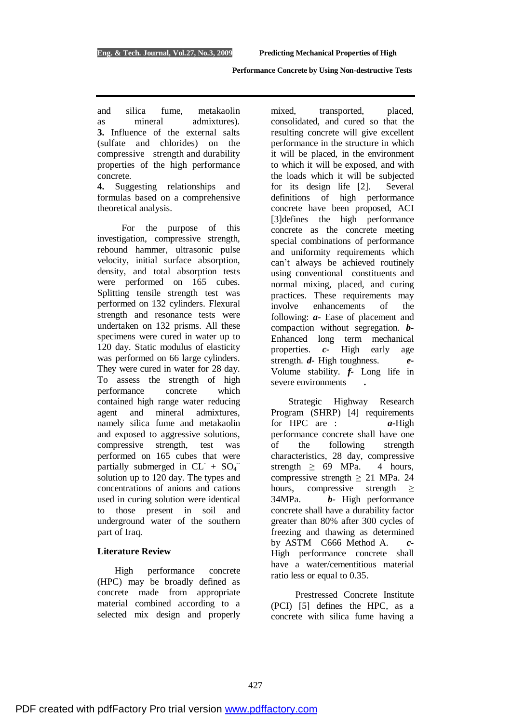and silica fume, metakaolin as mineral admixtures). **3.** Influence of the external salts (sulfate and chlorides) on the compressive strength and durability properties of the high performance concrete.

**4.** Suggesting relationships and formulas based on a comprehensive theoretical analysis.

For the purpose of this investigation, compressive strength, rebound hammer, ultrasonic pulse velocity, initial surface absorption, density, and total absorption tests were performed on 165 cubes. Splitting tensile strength test was performed on 132 cylinders. Flexural strength and resonance tests were undertaken on 132 prisms. All these specimens were cured in water up to 120 day. Static modulus of elasticity was performed on 66 large cylinders. They were cured in water for 28 day. To assess the strength of high performance concrete which contained high range water reducing agent and mineral admixtures, namely silica fume and metakaolin and exposed to aggressive solutions, compressive strength, test was performed on 165 cubes that were partially submerged in  $CL^- + SO_4^$ solution up to 120 day. The types and concentrations of anions and cations used in curing solution were identical to those present in soil and underground water of the southern part of Iraq.

#### **Literature Review**

 High performance concrete (HPC) may be broadly defined as concrete made from appropriate material combined according to a selected mix design and properly mixed, transported, placed, consolidated, and cured so that the resulting concrete will give excellent performance in the structure in which it will be placed, in the environment to which it will be exposed, and with the loads which it will be subjected for its design life [2]. Several definitions of high performance concrete have been proposed, ACI [3]defines the high performance concrete as the concrete meeting special combinations of performance and uniformity requirements which can't always be achieved routinely using conventional constituents and normal mixing, placed, and curing practices. These requirements may involve enhancements of the following: *a-* Ease of placement and compaction without segregation. *b-*Enhanced long term mechanical properties. *c-* High early age strength. *d-* High toughness. *e-*Volume stability. *f-* Long life in severe environments **.** 

Strategic Highway Research Program (SHRP) [4] requirements for HPC are : *a-*High performance concrete shall have one of the following strength characteristics, 28 day, compressive strength  $\geq 69$  MPa. 4 hours, compressive strength  $\geq$  21 MPa. 24 hours, compressive strength  $\geq$ 34MPa. *b-* High performance concrete shall have a durability factor greater than 80% after 300 cycles of freezing and thawing as determined by ASTM C666 Method A. *c-*High performance concrete shall have a water/cementitious material ratio less or equal to 0.35.

Prestressed Concrete Institute (PCI) [5] defines the HPC, as a concrete with silica fume having a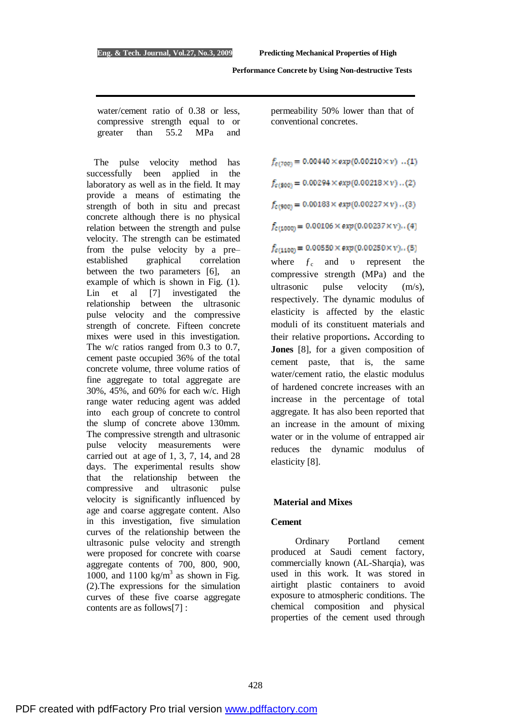water/cement ratio of 0.38 or less, compressive strength equal to or greater than 55.2 MPa and

 The pulse velocity method has successfully been applied in the laboratory as well as in the field. It may provide a means of estimating the strength of both in situ and precast concrete although there is no physical relation between the strength and pulse velocity. The strength can be estimated from the pulse velocity by a pre– established graphical correlation between the two parameters [6], an example of which is shown in Fig. (1). Lin et al [7] investigated the relationship between the ultrasonic pulse velocity and the compressive strength of concrete. Fifteen concrete mixes were used in this investigation. The w/c ratios ranged from 0.3 to 0.7, cement paste occupied 36% of the total concrete volume, three volume ratios of fine aggregate to total aggregate are 30%, 45%, and 60% for each w/c. High range water reducing agent was added into each group of concrete to control the slump of concrete above 130mm. The compressive strength and ultrasonic pulse velocity measurements were carried out at age of 1, 3, 7, 14, and 28 days. The experimental results show that the relationship between the compressive and ultrasonic pulse velocity is significantly influenced by age and coarse aggregate content. Also in this investigation, five simulation curves of the relationship between the ultrasonic pulse velocity and strength were proposed for concrete with coarse aggregate contents of 700, 800, 900, 1000, and 1100 kg/m<sup>3</sup> as shown in Fig. (2).The expressions for the simulation curves of these five coarse aggregate contents are as follows[7] :

permeability 50% lower than that of conventional concretes.

 $f_{c(700)} = 0.00440 \times exp(0.00210 \times v)$  ..(1)

 $f_{c(800)} = 0.00294 \times exp(0.00218 \times v)$ ..(2)  $f_{c(900)} = 0.00183 \times exp(0.00227 \times v) ... (3)$ 

 $f_{c(1000)} = 0.00106 \times exp(0.00237 \times v)$ ..(4)

## $f_{c(1100)} = 0.00550 \times exp(0.00250 \times v)$ ..(5)

where  $f_c$  and v represent the compressive strength (MPa) and the ultrasonic pulse velocity (m/s), respectively. The dynamic modulus of elasticity is affected by the elastic moduli of its constituent materials and their relative proportions**.** According to **Jones** [8], for a given composition of cement paste, that is, the same water/cement ratio, the elastic modulus of hardened concrete increases with an increase in the percentage of total aggregate. It has also been reported that an increase in the amount of mixing water or in the volume of entrapped air reduces the dynamic modulus of elasticity [8].

## **Material and Mixes**

#### **Cement**

Ordinary Portland cement produced at Saudi cement factory, commercially known (AL-Sharqia), was used in this work. It was stored in airtight plastic containers to avoid exposure to atmospheric conditions. The chemical composition and physical properties of the cement used through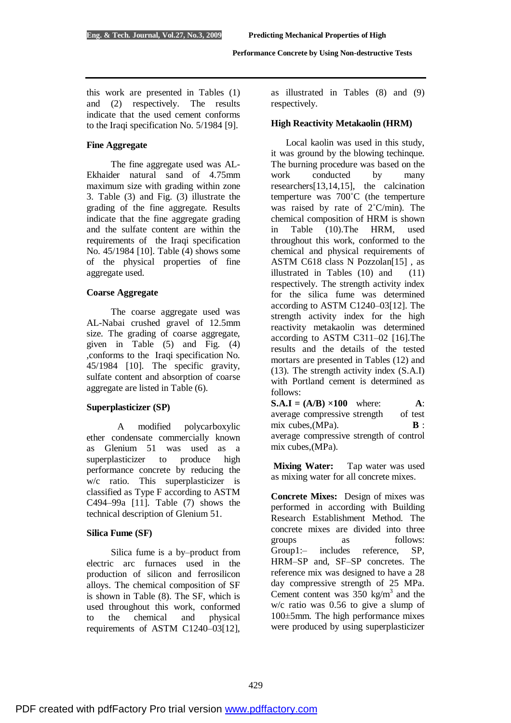this work are presented in Tables (1) and (2) respectively. The results indicate that the used cement conforms to the Iraqi specification No. 5/1984 [9].

## **Fine Aggregate**

The fine aggregate used was AL-Ekhaider natural sand of 4.75mm maximum size with grading within zone 3. Table (3) and Fig. (3) illustrate the grading of the fine aggregate. Results indicate that the fine aggregate grading and the sulfate content are within the requirements of the Iraqi specification No. 45/1984 [10]. Table (4) shows some of the physical properties of fine aggregate used.

## **Coarse Aggregate**

The coarse aggregate used was AL-Nabai crushed gravel of 12.5mm size. The grading of coarse aggregate, given in Table (5) and Fig. (4) ,conforms to the Iraqi specification No. 45/1984 [10]. The specific gravity, sulfate content and absorption of coarse aggregate are listed in Table (6).

## **Superplasticizer (SP)**

A modified polycarboxylic ether condensate commercially known as Glenium 51 was used as a superplasticizer to produce high performance concrete by reducing the w/c ratio. This superplasticizer is classified as Type F according to ASTM C494–99a [11]. Table (7) shows the technical description of Glenium 51.

#### **Silica Fume (SF)**

Silica fume is a by–product from electric arc furnaces used in the production of silicon and ferrosilicon alloys. The chemical composition of SF is shown in Table (8). The SF, which is used throughout this work, conformed to the chemical and physical requirements of ASTM C1240–03[12],

as illustrated in Tables (8) and (9) respectively.

## **High Reactivity Metakaolin (HRM)**

 Local kaolin was used in this study, it was ground by the blowing techinque. The burning procedure was based on the work conducted by many researchers[13,14,15], the calcination temperture was 700˚C (the temperture was raised by rate of 2˚C/min). The chemical composition of HRM is shown in Table (10).The HRM, used throughout this work, conformed to the chemical and physical requirements of ASTM C618 class N Pozzolan[15], as illustrated in Tables (10) and (11) respectively. The strength activity index for the silica fume was determined according to ASTM C1240–03[12]. The strength activity index for the high reactivity metakaolin was determined according to ASTM C311–02 [16].The results and the details of the tested mortars are presented in Tables (12) and (13). The strength activity index (S.A.I) with Portland cement is determined as follows:

 $S.A.I = (A/B) \times 100$  where:  $A$ : average compressive strength of test mix cubes, (MPa). **B** : average compressive strength of control mix cubes,(MPa).

**Mixing Water:** Tap water was used as mixing water for all concrete mixes.

**Concrete Mixes:**Design of mixes was performed in according with Building Research Establishment Method. The concrete mixes are divided into three groups as follows: Group1:– includes reference, SP, HRM–SP and, SF–SP concretes. The reference mix was designed to have a 28 day compressive strength of 25 MPa. Cement content was  $350 \text{ kg/m}^3$  and the w/c ratio was 0.56 to give a slump of 100±5mm. The high performance mixes were produced by using superplasticizer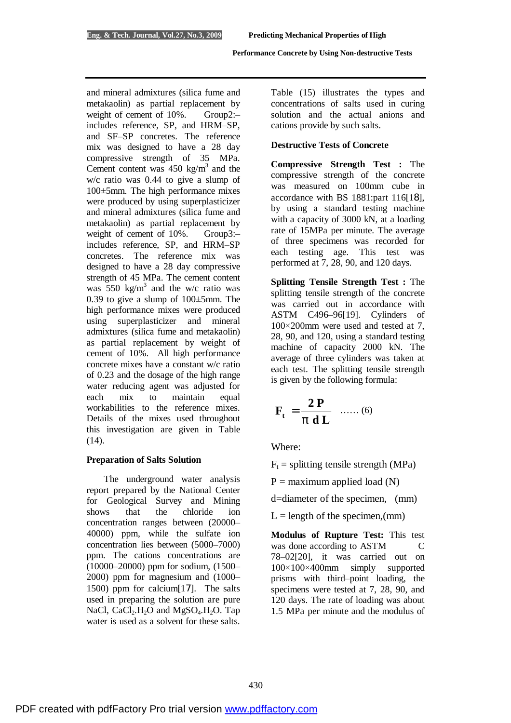and mineral admixtures (silica fume and metakaolin) as partial replacement by weight of cement of 10%. Group2:includes reference, SP, and HRM–SP, and SF–SP concretes. The reference mix was designed to have a 28 day compressive strength of 35 MPa. Cement content was  $450 \text{ kg/m}^3$  and the w/c ratio was 0.44 to give a slump of 100±5mm. The high performance mixes were produced by using superplasticizer and mineral admixtures (silica fume and metakaolin) as partial replacement by weight of cement of 10%. Group3:includes reference, SP, and HRM–SP concretes. The reference mix was designed to have a 28 day compressive strength of 45 MPa. The cement content was  $550 \text{ kg/m}^3$  and the w/c ratio was 0.39 to give a slump of 100±5mm. The high performance mixes were produced using superplasticizer and mineral admixtures (silica fume and metakaolin) as partial replacement by weight of cement of 10%.All high performance concrete mixes have a constant w/c ratio of 0.23 and the dosage of the high range water reducing agent was adjusted for each mix to maintain equal workabilities to the reference mixes. Details of the mixes used throughout this investigation are given in Table  $(14)$ .

#### **Preparation of Salts Solution**

 The underground water analysis report prepared by the National Center for Geological Survey and Mining shows that the chloride ion concentration ranges between (20000– 40000) ppm, while the sulfate ion concentration lies between (5000–7000) ppm. The cations concentrations are (10000–20000) ppm for sodium, (1500– 2000) ppm for magnesium and (1000– 1500) ppm for calcium[17]. The salts used in preparing the solution are pure NaCl,  $CaCl<sub>2</sub>H<sub>2</sub>O$  and  $MgSO<sub>4</sub>H<sub>2</sub>O$ . Tap water is used as a solvent for these salts.

Table (15) illustrates the types and concentrations of salts used in curing solution and the actual anions and cations provide by such salts.

## **Destructive Tests of Concrete**

**Compressive Strength Test :** The compressive strength of the concrete was measured on 100mm cube in accordance with BS 1881:part 116[18], by using a standard testing machine with a capacity of 3000 kN, at a loading rate of 15MPa per minute. The average of three specimens was recorded for each testing age. This test was performed at 7, 28, 90, and 120 days.

**Splitting Tensile Strength Test :** The splitting tensile strength of the concrete was carried out in accordance with ASTM C496–96[19]. Cylinders of 100×200mm were used and tested at 7, 28, 90, and 120, using a standard testing machine of capacity 2000 kN. The average of three cylinders was taken at each test. The splitting tensile strength is given by the following formula:

$$
\mathbf{F}_{\mathbf{t}} = \frac{\mathbf{2P}}{p \mathbf{d} \mathbf{L}} \quad \dots \dots (6)
$$

Where:

 $F_t$  = splitting tensile strength (MPa)

 $P =$  maximum applied load (N)

d=diameter of the specimen, (mm)

 $L =$  length of the specimen, (mm)

**Modulus of Rupture Test:** This test was done according to ASTM C 78–02[20], it was carried out on 100×100×400mm simply supported prisms with third–point loading, the specimens were tested at 7, 28, 90, and 120 days. The rate of loading was about 1.5 MPa per minute and the modulus of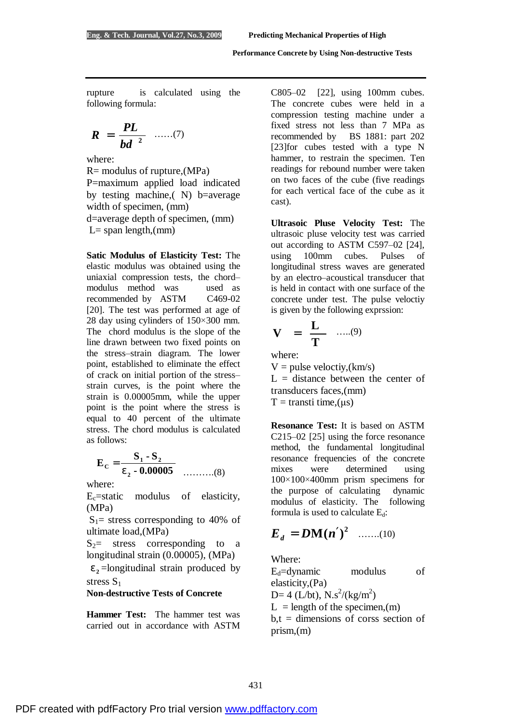rupture is calculated using the following formula:

$$
R = \frac{PL}{bd^2} \quad ......(7)
$$

where:

R= modulus of rupture,(MPa) P=maximum applied load indicated by testing machine,( N) b=average width of specimen, (mm) d=average depth of specimen, (mm)  $L=$  span length,(mm)

**Satic Modulus of Elasticity Test:** The elastic modulus was obtained using the uniaxial compression tests, the chord– modulus method was used as recommended by ASTM C469-02 [20]. The test was performed at age of 28 day using cylinders of 150×300 mm. The chord modulus is the slope of the line drawn between two fixed points on the stress–strain diagram. The lower point, established to eliminate the effect of crack on initial portion of the stress– strain curves, is the point where the strain is 0.00005mm, while the upper point is the point where the stress is equal to 40 percent of the ultimate stress. The chord modulus is calculated as follows:

$$
E_C = \frac{S_1 - S_2}{e_2 - 0.00005}
$$
 .........(8)

where:

 $E<sub>c</sub>=$ static modulus of elasticity, (MPa)

 $S_1$ = stress corresponding to 40% of ultimate load,(MPa)

 $S_2$ = stress corresponding to a longitudinal strain (0.00005), (MPa)

 $e_2$ =longitudinal strain produced by stress S<sub>1</sub>

#### **Non-destructive Tests of Concrete**

**Hammer Test:** The hammer test was carried out in accordance with ASTM C805–02 [22], using 100mm cubes. The concrete cubes were held in a compression testing machine under a fixed stress not less than 7 MPa as recommended by BS 1881: part 202 [23]for cubes tested with a type N hammer, to restrain the specimen. Ten readings for rebound number were taken on two faces of the cube (five readings for each vertical face of the cube as it cast).

**Ultrasoic Pluse Velocity Test:** The ultrasoic pluse velocity test was carried out according to ASTM C597–02 [24], using 100mm cubes. Pulses of longitudinal stress waves are generated by an electro–acoustical transducer that is held in contact with one surface of the concrete under test. The pulse veloctiy is given by the following exprssion:

$$
\mathbf{V} = \frac{\mathbf{L}}{\mathbf{T}} \quad \dots (9)
$$

where:

 $V = pulse velocity, (km/s)$  $L =$  distance between the center of transducers faces,(mm)  $T =$  transti time, (μs)

**Resonance Test:** It is based on ASTM C215–02 [25] using the force resonance method, the fundamental longitudinal resonance frequencies of the concrete mixes were determined using 100×100×400mm prism specimens for the purpose of calculating dynamic modulus of elasticity. The following formula is used to calculate  $E_d$ :

$$
E_d = DM(n^0)^2
$$
 ......(10)

Where:

 $E_d = dy$ namic modulus of elasticity,(Pa) D= 4 (L/bt),  $N \simeq$   $\frac{\text{N}}{\text{s}^2}$  (kg/m<sup>2</sup>)  $L =$  length of the specimen.(m)  $b,t =$  dimensions of corss section of prism,(m)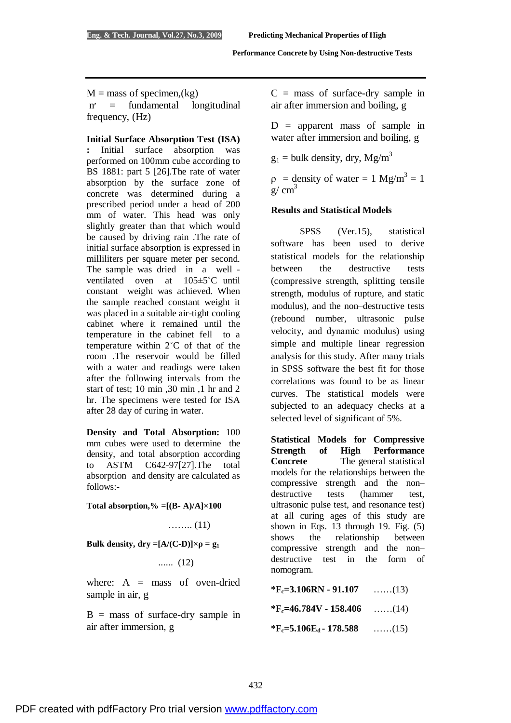$M =$  mass of specimen,  $(kg)$  n׳ = fundamental longitudinal frequency, (Hz)

#### **Initial Surface Absorption Test (ISA)**

**:** Initial surface absorption was performed on 100mm cube according to BS 1881: part 5 [26].The rate of water absorption by the surface zone of concrete was determined during a prescribed period under a head of 200 mm of water. This head was only slightly greater than that which would be caused by driving rain .The rate of initial surface absorption is expressed in milliliters per square meter per second. The sample was dried in a well ventilated oven at 105±5˚C until constant weight was achieved. When the sample reached constant weight it was placed in a suitable air-tight cooling cabinet where it remained until the temperature in the cabinet fell to a temperature within 2˚C of that of the room .The reservoir would be filled with a water and readings were taken after the following intervals from the start of test; 10 min ,30 min ,1 hr and 2 hr. The specimens were tested for ISA after 28 day of curing in water.

**Density and Total Absorption:** 100 mm cubes were used to determine the density, and total absorption according to ASTM C642-97[27].The total absorption and density are calculated as follows:-

**Total absorption,** % =  $[(B - A)/A] \times 100$ 

…….. (11)

**Bulk density, dry**  $=[A/(C-D)] \times \rho = g_1$ 

...... (12)

where:  $A =$  mass of oven-dried sample in air, g

 $B =$  mass of surface-dry sample in air after immersion, g

 $C =$  mass of surface-dry sample in air after immersion and boiling, g

 $D =$  apparent mass of sample in water after immersion and boiling, g

 $g_1$  = bulk density, dry, Mg/m<sup>3</sup>

 $p =$  density of water = 1 Mg/m<sup>3</sup> = 1  $g/cm<sup>3</sup>$ 

## **Results and Statistical Models**

 SPSS (Ver.15), statistical software has been used to derive statistical models for the relationship between the destructive tests (compressive strength, splitting tensile strength, modulus of rupture, and static modulus), and the non–destructive tests (rebound number, ultrasonic pulse velocity, and dynamic modulus) using simple and multiple linear regression analysis for this study. After many trials in SPSS software the best fit for those correlations was found to be as linear curves. The statistical models were subjected to an adequacy checks at a selected level of significant of 5%.

**Statistical Models for Compressive Strength of High Performance Concrete** The general statistical models for the relationships between the compressive strength and the non– destructive tests (hammer test, ultrasonic pulse test, and resonance test) at all curing ages of this study are shown in Eqs. 13 through 19. Fig. (5) shows the relationship between compressive strength and the non– destructive test in the form of nomogram.

**\*Fc=3.106RN - 91.107** ……(13)

**\*Fc=46.784V - 158.406** ……(14)

**\*Fc=5.106Ed - 178.588** ……(15)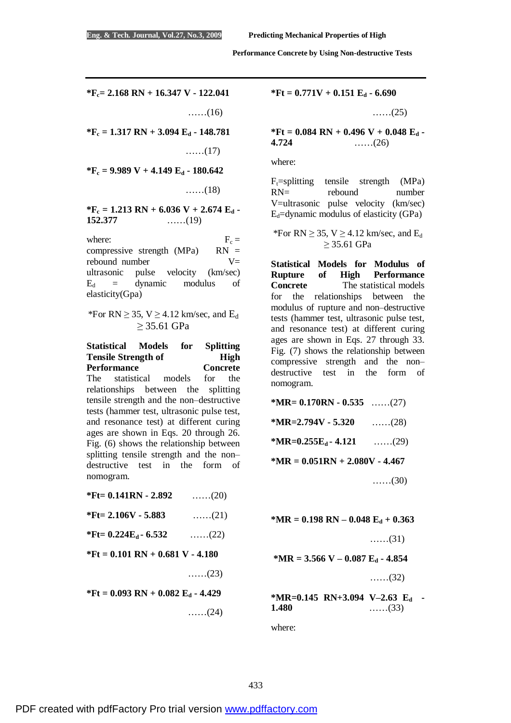**\*Fc= 2.168 RN + 16.347 V - 122.041** 

……(16)

**\*F<sup>c</sup> = 1.317 RN + 3.094 E<sup>d</sup> - 148.781** 

……(17)

**\*F<sup>c</sup> = 9.989 V + 4.149 E<sup>d</sup> - 180.642** 

……(18)

 $*$ **F**<sub>c</sub> = **1.213 RN** + **6.036 V** + **2.674 E**<sub>d</sub> **- 152.377 152.377** ……(19)

where:  $F_c =$ compressive strength (MPa)  $RN =$ rebound number  $V=$ ultrasonic pulse velocity (km/sec)  $E_d$  = dynamic modulus of elasticity(Gpa)

\*For RN  $\geq$  35, V  $\geq$  4.12 km/sec, and E<sub>d</sub> ≥ 35.61 GPa

**Statistical Models for Splitting Tensile Strength of High Performance Concrete**  The statistical models for the relationships between the splitting tensile strength and the non–destructive tests (hammer test, ultrasonic pulse test, and resonance test) at different curing ages are shown in Eqs. 20 through 26. Fig. (6) shows the relationship between splitting tensile strength and the non– destructive test in the form of nomogram. **\*Ft= 0.141RN - 2.892** ……(20) **\*Ft= 2.106V - 5.883** ……(21)

 $*$ **Ft=**  $0.224E_d - 6.532$  ……(22)

**\*Ft = 0.101 RN + 0.681 V - 4.180** 

……(23)

**\*Ft = 0.093 RN + 0.082 E<sup>d</sup> - 4.429** ……(24) **\*Ft = 0.771V + 0.151 E<sup>d</sup> - 6.690** 

……(25)

**\*Ft = 0.084 RN + 0.496 V + 0.048 E<sup>d</sup> - 4.724** ……(26)

where:

 $F_t$ =splitting tensile strength (MPa) RN= rebound number V=ultrasonic pulse velocity (km/sec)  $E_d$ =dynamic modulus of elasticity (GPa)

\*For RN  $\geq$  35, V  $\geq$  4.12 km/sec, and E<sub>d</sub> ≥ 35.61 GPa

**Statistical Models for Modulus of Rupture of High Performance Concrete** The statistical models for the relationships between the modulus of rupture and non–destructive tests (hammer test, ultrasonic pulse test, and resonance test) at different curing ages are shown in Eqs. 27 through 33. Fig. (7) shows the relationship between compressive strength and the non– destructive test in the form of nomogram.

**\*MR= 0.170RN - 0.535** ……(27) **\*MR=2.794V - 5.320** ……(28)  $*MR=0.255E_d - 4.121$  ……(29) **\*MR = 0.051RN + 2.080V - 4.467** 

……(30)

**\*MR = 0.198 RN – 0.048 E<sup>d</sup> + 0.363** 

……(31)

**\*MR = 3.566 V – 0.087 E<sup>d</sup> - 4.854** ……(32)

**\*MR=0.145 RN+3.094 V–2.63 Ed - 1.480** ……(33)

where: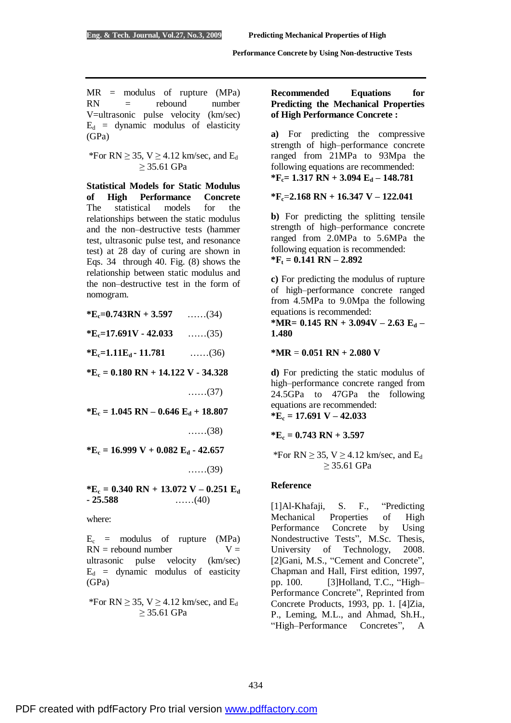$MR =$  modulus of rupture (MPa)  $RN =$  rebound number V=ultrasonic pulse velocity (km/sec)  $E_d$  = dynamic modulus of elasticity (GPa)

\*For RN  $\geq$  35, V  $\geq$  4.12 km/sec, and E<sub>d</sub> ≥ 35.61 GPa

**Statistical Models for Static Modulus of High Performance Concrete**  The statistical models for the relationships between the static modulus and the non–destructive tests (hammer test, ultrasonic pulse test, and resonance test) at 28 day of curing are shown in Eqs. 34 through 40. Fig. (8) shows the relationship between static modulus and the non–destructive test in the form of nomogram.

 $*E_c = 0.743RN + 3.597$  ……(34) **\*Ec=17.691V - 42.033** ……(35)  $*E_c = 1.11E_d - 11.781$  ……(36) **\*E<sup>c</sup> = 0.180 RN + 14.122 V - 34.328** ……(37) **\*E<sup>c</sup> = 1.045 RN – 0.646 E<sup>d</sup> + 18.807** ……(38) **\*E<sup>c</sup> = 16.999 V + 0.082 E<sup>d</sup> - 42.657** ……(39) **\*E<sup>c</sup> = 0.340 RN + 13.072 V – 0.251 E<sup>d</sup> - 25.588** ……(40)

where:

 $E_c$  = modulus of rupture (MPa)  $RN =$  rebound number  $V =$ ultrasonic pulse velocity (km/sec)  $E_d$  = dynamic modulus of easticity (GPa)

\*For RN  $\geq$  35, V  $\geq$  4.12 km/sec, and E<sub>d</sub> ≥ 35.61 GPa

## **Recommended Equations for Predicting the Mechanical Properties of High Performance Concrete :**

**a)** For predicting the compressive strength of high–performance concrete ranged from 21MPa to 93Mpa the following equations are recommended: **\*Fc= 1.317 RN + 3.094 E<sup>d</sup> – 148.781** 

## **\*Fc**=**2.168 RN + 16.347 V – 122.041**

**b)** For predicting the splitting tensile strength of high–performance concrete ranged from 2.0MPa to 5.6MPa the following equation is recommended:  $*F_t = 0.141 \text{ RN} - 2.892$ 

**c)** For predicting the modulus of rupture of high–performance concrete ranged from 4.5MPa to 9.0Mpa the following equations is recommended:

**\*MR= 0.145 RN + 3.094V – 2.63 E<sup>d</sup> – 1.480** 

**\*MR** = **0.051 RN + 2.080 V**

**d)** For predicting the static modulus of high–performance concrete ranged from 24.5GPa to 47GPa the following equations are recommended: **\*E<sup>c</sup> = 17.691 V – 42.033** 

**\*E<sup>c</sup> = 0.743 RN + 3.597** 

\*For RN  $\geq$  35, V  $\geq$  4.12 km/sec, and E<sub>d</sub> ≥ 35.61 GPa

## **Reference**

[1]Al-Khafaji, S. F., "Predicting Mechanical Properties of High Performance Concrete by Using Nondestructive Tests", M.Sc. Thesis, University of Technology, 2008. [2]Gani, M.S., "Cement and Concrete", Chapman and Hall, First edition, 1997, pp. 100. [3]Holland, T.C., "High– Performance Concrete", Reprinted from Concrete Products, 1993, pp. 1. [4]Zia, P., Leming, M.L., and Ahmad, Sh.H., "High–Performance Concretes", A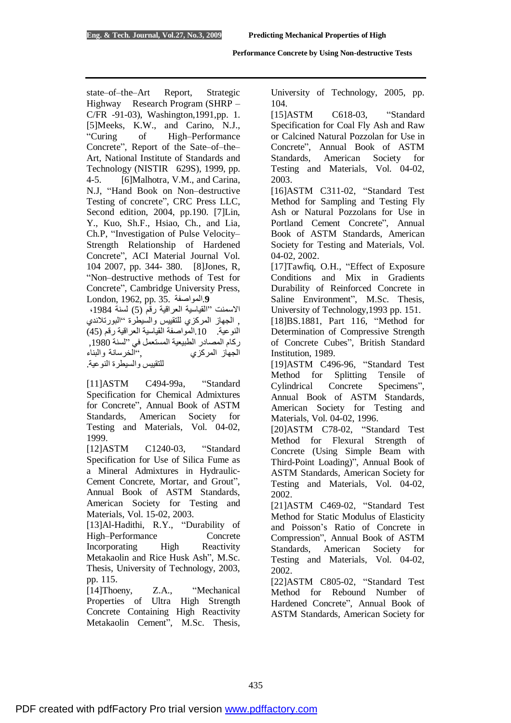state–of–the–Art Report, Strategic Highway Research Program (SHRP – C/FR -91-03), Washington,1991,pp. 1. [5]Meeks, K.W., and Carino, N.J., "Curing of High–Performance Concrete", Report of the Sate–of–the– Art, National Institute of Standards and Technology (NISTIR 629S), 1999, pp. 4-5. [6]Malhotra, V.M., and Carina, N.J, "Hand Book on Non–destructive Testing of concrete", CRC Press LLC, Second edition, 2004, pp.190. [7]Lin, Y., Kuo, Sh.F., Hsiao, Ch., and Lia, Ch.P, "Investigation of Pulse Velocity– Strength Relationship of Hardened Concrete", ACI Material Journal Vol. 104 2007, pp. 344- 380. [8]Jones, R, "Non–destructive methods of Test for Concrete", Cambridge University Press, London, 1962, pp. 35. المواصفة.**9**

الاسمنت "القیاسیة العراقیة رقم (5) لسنة ،1984 , الجھاز المركزي للتقییس والسیطرة "البورتلاندي النوعیة. .10المواصفة القیاسیة العراقیة رقم (45) ركام المصادر الطبیعیة المستعمل في "لسنة ,1980 الجھاز المركزي ,"الخرسانة والبناء للتقییس والسیطرة النوعیة.

[11]ASTM C494-99a, "Standard Specification for Chemical Admixtures for Concrete", Annual Book of ASTM Standards, American Society for Testing and Materials, Vol. 04-02, 1999.

[12]ASTM C1240-03, "Standard Specification for Use of Silica Fume as a Mineral Admixtures in Hydraulic-Cement Concrete, Mortar, and Grout", Annual Book of ASTM Standards, American Society for Testing and Materials, Vol. 15-02, 2003.

[13]Al-Hadithi, R.Y., "Durability of High–Performance Concrete Incorporating High Reactivity Metakaolin and Rice Husk Ash", M.Sc. Thesis, University of Technology, 2003, pp. 115.

[14]Thoeny, Z.A., "Mechanical Properties of Ultra High Strength Concrete Containing High Reactivity Metakaolin Cement", M.Sc. Thesis,

University of Technology, 2005, pp. 104.

[15]ASTM C618-03, "Standard Specification for Coal Fly Ash and Raw or Calcined Natural Pozzolan for Use in Concrete", Annual Book of ASTM Standards, American Society for Testing and Materials, Vol. 04-02, 2003.

[16]ASTM C311-02, "Standard Test Method for Sampling and Testing Fly Ash or Natural Pozzolans for Use in Portland Cement Concrete", Annual Book of ASTM Standards, American Society for Testing and Materials, Vol. 04-02, 2002.

[17]Tawfiq, O.H., "Effect of Exposure Conditions and Mix in Gradients Durability of Reinforced Concrete in Saline Environment", M.Sc. Thesis, University of Technology,1993 pp. 151.

[18]BS.1881, Part 116, "Method for Determination of Compressive Strength of Concrete Cubes", British Standard Institution, 1989.

[19]ASTM C496-96, "Standard Test Method for Splitting Tensile of Cylindrical Concrete Specimens", Annual Book of ASTM Standards, American Society for Testing and Materials, Vol. 04-02, 1996.

[20]ASTM C78-02, "Standard Test Method for Flexural Strength of Concrete (Using Simple Beam with Third-Point Loading)", Annual Book of ASTM Standards, American Society for Testing and Materials, Vol. 04-02, 2002.

[21]ASTM C469-02, "Standard Test Method for Static Modulus of Elasticity and Poisson's Ratio of Concrete in Compression", Annual Book of ASTM Standards, American Society for Testing and Materials, Vol. 04-02, 2002.

[22]ASTM C805-02, "Standard Test Method for Rebound Number of Hardened Concrete", Annual Book of ASTM Standards, American Society for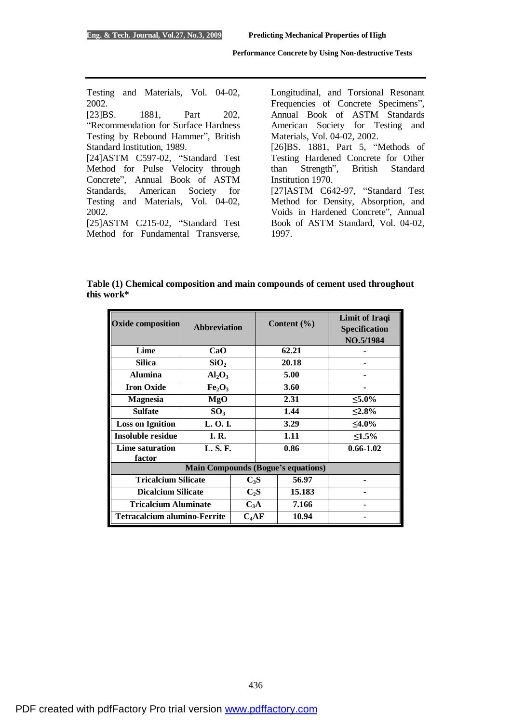Testing and Materials, Vol. 04-02, 2002. [23] BS. 1881, Part 202, "Recommendation for Surface Hardness Testing by Rebound Hammer", British Standard Institution, 1989. [24]ASTM C597-02, "Standard Test Method for Pulse Velocity through Concrete", Annual Book of ASTM Standards, American Society for Testing and Materials, Vol. 04-02, 2002. [25]ASTM C215-02, "Standard Test Method for Fundamental Transverse,

Longitudinal, and Torsional Resonant Frequencies of Concrete Specimens", Annual Book of ASTM Standards American Society for Testing and Materials, Vol. 04-02, 2002. [26]BS. 1881, Part 5, "Methods of Testing Hardened Concrete for Other than Strength", British Standard Institution 1970. [27]ASTM C642-97, "Standard Test Method for Density, Absorption, and Voids in Hardened Concrete", Annual Book of ASTM Standard, Vol. 04-02, 1997.

**Table (1) Chemical composition and main compounds of cement used throughout this work\*** 

| <b>Oxide composition</b>                  | <b>Abbreviation</b>            |         |       | Content $(\% )$ | Limit of Iraqi<br><b>Specification</b><br>NO.5/1984 |
|-------------------------------------------|--------------------------------|---------|-------|-----------------|-----------------------------------------------------|
| Lime                                      | CaO                            |         |       | 62.21           |                                                     |
| <b>Silica</b>                             | SiO <sub>2</sub>               |         | 20.18 |                 |                                                     |
| <b>Alumina</b>                            | $Al_2O_3$                      |         |       | 5.00            |                                                     |
| <b>Iron Oxide</b>                         | Fe <sub>2</sub> O <sub>3</sub> |         |       | 3.60            |                                                     |
| <b>Magnesia</b>                           | MgO                            |         | 2.31  |                 | $≤5.0\%$                                            |
| <b>Sulfate</b>                            | SO <sub>3</sub>                |         |       | 1.44            | $\leq 2.8\%$                                        |
| <b>Loss on Ignition</b>                   | L. O. I.                       |         |       | 3.29            | $<$ 4.0%                                            |
| <b>Insoluble residue</b>                  | <b>I. R.</b>                   |         |       | 1.11            | ≤1.5%                                               |
| <b>Lime saturation</b><br>factor          | L. S. F.                       |         |       | 0.86            | $0.66 - 1.02$                                       |
| <b>Main Compounds (Bogue's equations)</b> |                                |         |       |                 |                                                     |
| <b>Tricalcium Silicate</b>                |                                | $C_3S$  |       | 56.97           |                                                     |
| <b>Dicalcium Silicate</b>                 |                                | $C_2S$  |       | 15.183          |                                                     |
| <b>Tricalcium Aluminate</b>               |                                | $C_3A$  |       | 7.166           |                                                     |
| <b>Tetracalcium alumino-Ferrite</b>       |                                | $C_4AF$ |       | 10.94           |                                                     |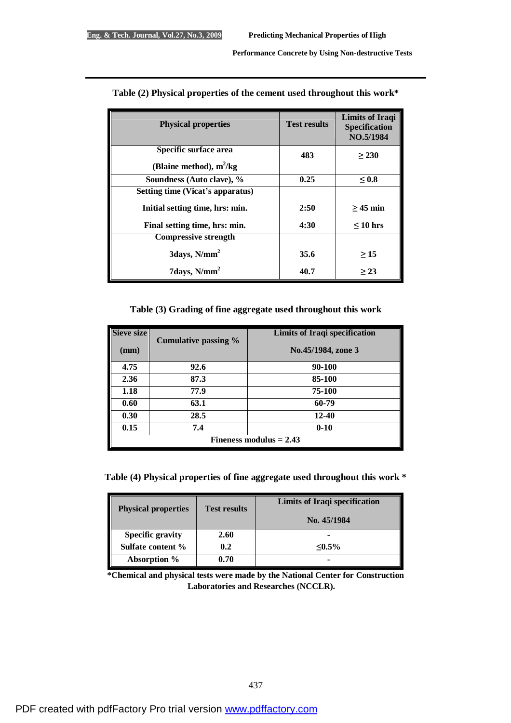| <b>Physical properties</b>       | <b>Test results</b> | <b>Limits of Iraqi</b><br>Specification<br>NO.5/1984 |
|----------------------------------|---------------------|------------------------------------------------------|
| Specific surface area            | 483                 | > 230                                                |
| (Blaine method), $m^2/kg$        |                     |                                                      |
| Soundness (Auto clave), %        | 0.25                | ${}_{< 0.8}$                                         |
| Setting time (Vicat's apparatus) |                     |                                                      |
| Initial setting time, hrs: min.  | 2:50                | $>45$ min                                            |
| Final setting time, hrs: min.    | 4:30                | $\leq 10$ hrs                                        |
| <b>Compressive strength</b>      |                     |                                                      |
| $3 \text{days}$ , $N/mm^2$       | 35.6                | >15                                                  |
| 7days, $N/mm2$                   | 40.7                | > 23                                                 |

## **Table (2) Physical properties of the cement used throughout this work\***

## **Table (3) Grading of fine aggregate used throughout this work**

| Sieve size                | Cumulative passing % | <b>Limits of Iraqi specification</b> |
|---------------------------|----------------------|--------------------------------------|
| (mm)                      |                      | No.45/1984, zone 3                   |
| 4.75                      | 92.6                 | 90-100                               |
| 2.36                      | 87.3                 | 85-100                               |
| 1.18                      | 77.9                 | 75-100                               |
| 0.60                      | 63.1                 | 60-79                                |
| 0.30                      | 28.5                 | 12-40                                |
| 0.15                      | 7.4                  | $0 - 10$                             |
| Fineness modulus $= 2.43$ |                      |                                      |

**Table (4) Physical properties of fine aggregate used throughout this work \*** 

| <b>Physical properties</b> | <b>Test results</b> | <b>Limits of Iraqi specification</b> |
|----------------------------|---------------------|--------------------------------------|
|                            |                     | No. 45/1984                          |
| <b>Specific gravity</b>    | 2.60                |                                      |
| Sulfate content %          | 0.2                 | $\leq 0.5\%$                         |
| Absorption %               | 0.70                |                                      |

**\*Chemical and physical tests were made by the National Center for Construction Laboratories and Researches (NCCLR).**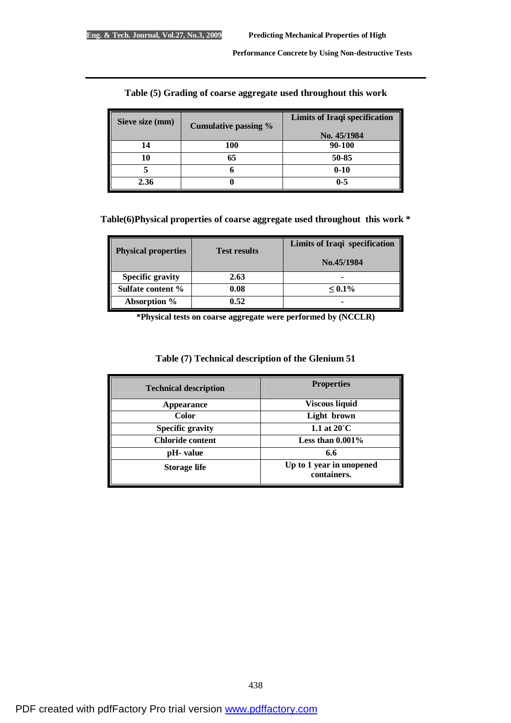| Sieve size (mm) | Cumulative passing % | <b>Limits of Iraqi specification</b><br>No. 45/1984 |
|-----------------|----------------------|-----------------------------------------------------|
| $\overline{A}$  | 100                  | 90-100                                              |
|                 |                      | 50-85                                               |
|                 |                      | $0 - 10$                                            |
| 2.36            |                      | $0 - 5$                                             |

## **Table (5) Grading of coarse aggregate used throughout this work**

## **Table(6)Physical properties of coarse aggregate used throughout this work \***

| <b>Physical properties</b> | <b>Test results</b> | <b>Limits of Iraqi specification</b><br>No.45/1984 |
|----------------------------|---------------------|----------------------------------------------------|
| <b>Specific gravity</b>    | 2.63                | ۰                                                  |
| Sulfate content %          | 0.08                | $\leq 0.1\%$                                       |
| Absorption %               | 0.52                |                                                    |

**\*Physical tests on coarse aggregate were performed by (NCCLR)** 

| <b>Technical description</b> | <b>Properties</b>                       |
|------------------------------|-----------------------------------------|
| Appearance                   | <b>Viscous liquid</b>                   |
| <b>Color</b>                 | Light brown                             |
| <b>Specific gravity</b>      | 1.1 at $20^{\circ}$ C                   |
| <b>Chloride content</b>      | Less than $0.001\%$                     |
| pH- value                    | 6.6                                     |
| <b>Storage life</b>          | Up to 1 year in unopened<br>containers. |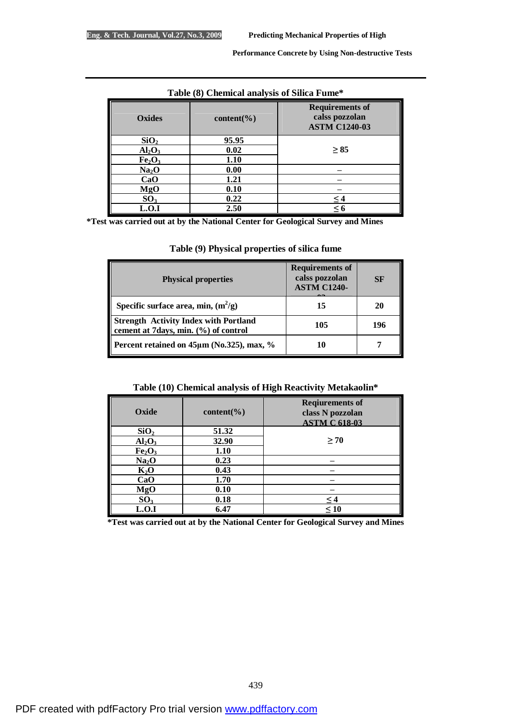| Table (6) Chemical analysis of Silica Fullie |               |                                                                  |  |
|----------------------------------------------|---------------|------------------------------------------------------------------|--|
| Oxides                                       | $content(\%)$ | <b>Requirements of</b><br>calss pozzolan<br><b>ASTM C1240-03</b> |  |
| SiO <sub>2</sub>                             | 95.95         |                                                                  |  |
| Al <sub>2</sub> O <sub>3</sub>               | 0.02          | $\geq 85$                                                        |  |
| Fe <sub>2</sub> O <sub>3</sub>               | 1.10          |                                                                  |  |
| Na <sub>2</sub> O                            | 0.00          |                                                                  |  |
| CaO                                          | 1.21          |                                                                  |  |
| MgO                                          | 0.10          |                                                                  |  |
| SO <sub>3</sub>                              | 0.22          | $\leq 4$                                                         |  |
| L.O.I                                        | 2.50          | $\leq 6$                                                         |  |

**Table (8) Chemical analysis of Silica Fume\*** 

**\*Test was carried out at by the National Center for Geological Survey and Mines** 

| Table (9) Physical properties of silica fume |  |
|----------------------------------------------|--|
|                                              |  |

| <b>Physical properties</b>                                                           | <b>Requirements of</b><br>calss pozzolan<br><b>ASTM C1240-</b> | <b>SF</b> |
|--------------------------------------------------------------------------------------|----------------------------------------------------------------|-----------|
| Specific surface area, min, $(m^2/g)$                                                | 15                                                             | 20        |
| <b>Strength Activity Index with Portland</b><br>cement at 7days, min. (%) of control | 105                                                            | 196       |
| Percent retained on 45µm (No.325), max, %                                            | 10                                                             |           |

**Table (10) Chemical analysis of High Reactivity Metakaolin\*** 

| Oxide                          | content( $\%$ ) | <b>Reqiurements of</b><br>class N pozzolan<br><b>ASTM C 618-03</b> |
|--------------------------------|-----------------|--------------------------------------------------------------------|
| SiO <sub>2</sub>               | 51.32           |                                                                    |
| Al <sub>2</sub> O <sub>3</sub> | 32.90           | > 70                                                               |
| Fe <sub>2</sub> O <sub>3</sub> | 1.10            |                                                                    |
| Na <sub>2</sub> O              | 0.23            |                                                                    |
| $K_2O$                         | 0.43            |                                                                    |
| CaO                            | 1.70            |                                                                    |
| <b>MgO</b>                     | 0.10            |                                                                    |
| SO <sub>3</sub>                | 0.18            | $\leq 4$                                                           |
| L.O.I                          | 6.47            | $\leq 10$                                                          |

**\*Test was carried out at by the National Center for Geological Survey and Mines**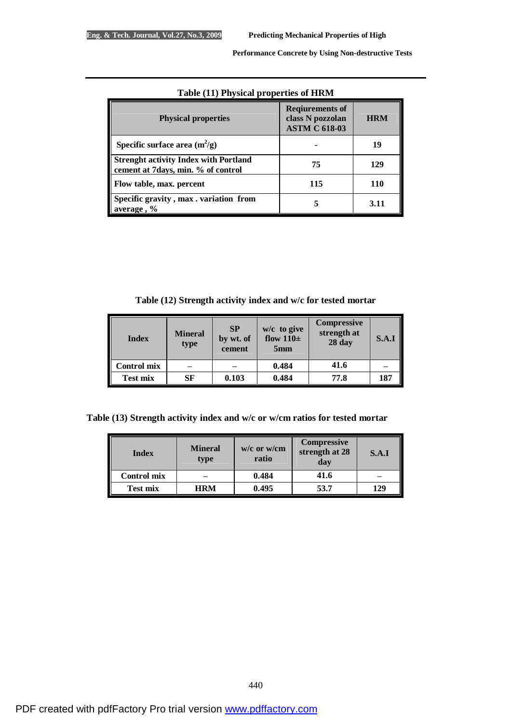| Lable (11) I hysical properties of HKWI                                            |                                                                    |            |  |  |  |
|------------------------------------------------------------------------------------|--------------------------------------------------------------------|------------|--|--|--|
| <b>Physical properties</b>                                                         | <b>Reqiurements of</b><br>class N pozzolan<br><b>ASTM C 618-03</b> | <b>HRM</b> |  |  |  |
| Specific surface area $(m^2/g)$                                                    |                                                                    | 19         |  |  |  |
| <b>Strenght activity Index with Portland</b><br>cement at 7days, min. % of control | 75                                                                 | 129        |  |  |  |
| Flow table, max. percent                                                           | 115                                                                | <b>110</b> |  |  |  |
| Specific gravity, max. variation from<br>average, %                                |                                                                    | 3.11       |  |  |  |

# **Table (11) Physical properties of HRM**

**Table (12) Strength activity index and w/c for tested mortar**

| <b>Index</b> | <b>Mineral</b><br>type | <b>SP</b><br>by wt. of<br>cement | w/c to give<br>flow $110\pm$<br>5 <sub>mm</sub> | <b>Compressive</b><br>strength at<br>28 <sub>day</sub> | S.A.I |
|--------------|------------------------|----------------------------------|-------------------------------------------------|--------------------------------------------------------|-------|
| Control mix  |                        |                                  | 0.484                                           | 41.6                                                   |       |
| Test mix     | SF                     | 0.103                            | 0.484                                           | 77.8                                                   | 187   |

**Table (13) Strength activity index and w/c or w/cm ratios for tested mortar** 

| <b>Index</b>       | <b>Mineral</b><br>type | $w/c$ or $w/cm$<br>ratio | <b>Compressive</b><br>strength at 28<br>day | S.A.I |
|--------------------|------------------------|--------------------------|---------------------------------------------|-------|
| <b>Control mix</b> |                        | 0.484                    | 41.6                                        |       |
| Test mix           | <b>HRM</b>             | 0.495                    | 53.7                                        | 129   |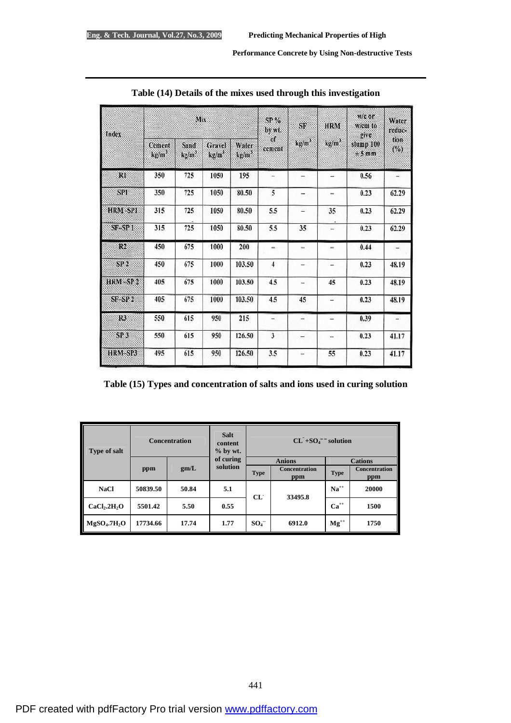| Index               | Mix                         |                           |                             | SP <sub>0</sub><br>by wt.  | SF                       | <b>HRM</b>               | w/c or<br>w/cm to<br>give. | Water<br>reduc-   |                          |
|---------------------|-----------------------------|---------------------------|-----------------------------|----------------------------|--------------------------|--------------------------|----------------------------|-------------------|--------------------------|
|                     | Cement<br>kg/m <sup>3</sup> | Sand<br>kg/m <sup>3</sup> | Gravel<br>kg/m <sup>2</sup> | Water<br>kg/m <sup>3</sup> | of<br>cement             | ky/m <sup>3</sup>        | kg/m <sup>3</sup>          | slump 100<br>±5mm | tion<br>(%)              |
| R1                  | 350                         | 725                       | 1050                        | 195                        |                          | $\overline{a}$           | -                          | 0.56              |                          |
| <b>SPI</b>          | 350                         | 725                       | 1050                        | 80.50                      | 5                        | -                        | ÷                          | 0.23              | 62.29                    |
| HRM-SPI             | 315                         | 725                       | 1050                        | 80.50                      | 5.5                      | $\overline{\phantom{a}}$ | 35                         | 0.23              | 62.29                    |
| SF SP 1             | 315                         | 725                       | 1050                        | 80.50                      | 5.5                      | 35                       | u                          | 0.23              | 62.29                    |
| R2                  | 450                         | 675                       | 1000                        | 200                        | u.                       | $\overline{\phantom{a}}$ | ÷.                         | 0.44              | Ξ                        |
| SP <sub>2</sub>     | 450                         | 675                       | 1000                        | 103.50                     | $\overline{4}$           | $\frac{1}{2}$            | $\frac{1}{2}$              | 0.23              | 48.19                    |
| HRM SP <sub>2</sub> | 405                         | 675                       | 1000                        | 103.50                     | 4.5                      | u,                       | 45                         | 0.23              | 48.19                    |
| SF-SP <sub>2</sub>  | 405                         | 675                       | 1000                        | 103.50                     | 4.5                      | 45                       | $\overline{a}$             | 0.23              | 48.19                    |
| R3                  | 550                         | 615                       | 950                         | 215                        | $\overline{\phantom{a}}$ | $\rightarrow$            | ÷                          | 0.39              | $\overline{\phantom{a}}$ |
| SP <sub>3</sub>     | 550                         | 615                       | 950                         | 126.50                     | $\mathbf{3}$             | $\overline{ }$           | in.                        | 0.23              | 41.17                    |
| HRM-SP3             | 495                         | 615                       | 950                         | 126.50                     | 3.5                      | $\pm$                    | 55                         | 0.23              | 41.17                    |

| Table (14) Details of the mixes used through this investigation |  |
|-----------------------------------------------------------------|--|
|-----------------------------------------------------------------|--|

| Table (15) Types and concentration of salts and ions used in curing solution |  |  |  |  |
|------------------------------------------------------------------------------|--|--|--|--|
|------------------------------------------------------------------------------|--|--|--|--|

| <b>Type of salt</b>                  |          | <b>Concentration</b> | <b>Salt</b><br>content<br>$%$ by wt. |               | $CL^- + SO4 - solution$ |             |                             |  |
|--------------------------------------|----------|----------------------|--------------------------------------|---------------|-------------------------|-------------|-----------------------------|--|
|                                      |          |                      | of curing                            | <b>Anions</b> |                         |             | <b>Cations</b>              |  |
|                                      | ppm      | gm/L                 | solution                             | <b>Type</b>   | Concentration<br>ppm    | <b>Type</b> | <b>Concentration</b><br>ppm |  |
| <b>NaCl</b>                          | 50839.50 | 50.84                | 5.1                                  | CL            | 33495.8                 | $Na^{++}$   | 20000                       |  |
| CaCl <sub>2</sub> .2H <sub>2</sub> O | 5501.42  | 5.50                 | 0.55                                 |               |                         | $Ca^{++}$   | 1500                        |  |
| MgSO <sub>4</sub> .7H <sub>2</sub> O | 17734.66 | 17.74                | 1.77                                 | $SO_4^-$      | 6912.0                  | $Mg^{++}$   | 1750                        |  |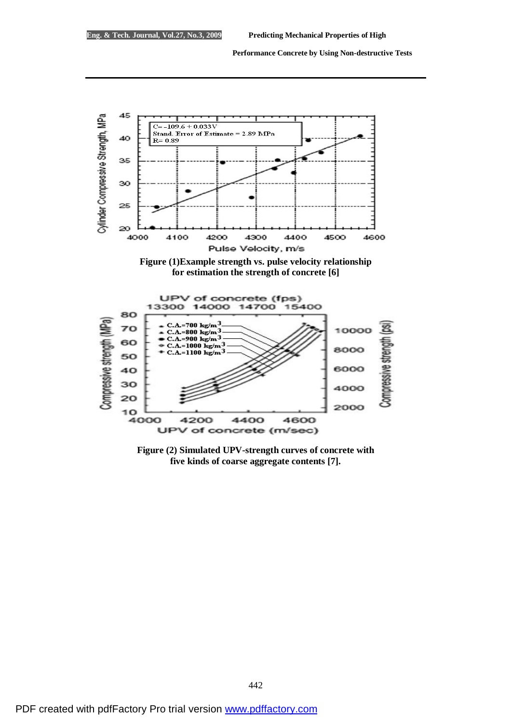





**Figure (2) Simulated UPV-strength curves of concrete with five kinds of coarse aggregate contents [7].**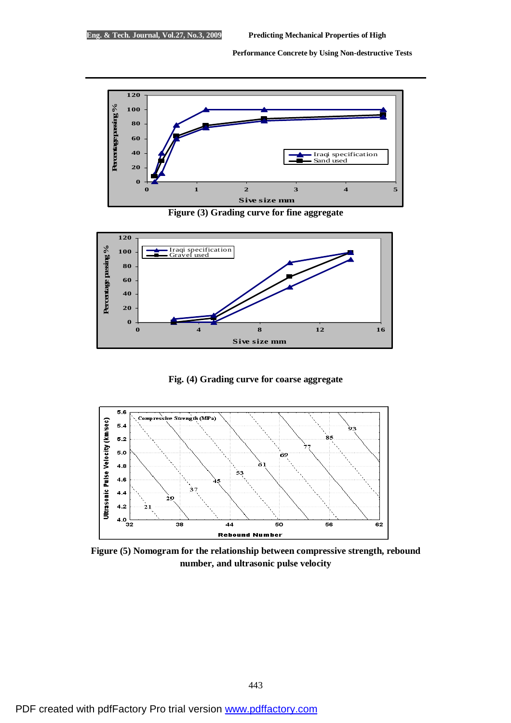

**Figure (3) Grading curve for fine aggregate** 



**Fig. (4) Grading curve for coarse aggregate** 



**Figure (5) Nomogram for the relationship between compressive strength, rebound number, and ultrasonic pulse velocity**